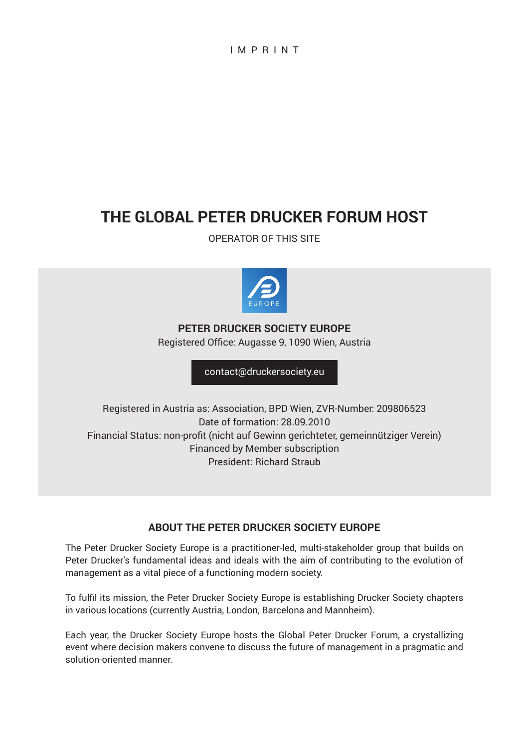IMPRINT

# **The Global Peter Drucker Forum Host**

Operator of this site



**Peter Drucker Society Europe** Registered Office: Augasse 9, 1090 Wien, Austria

[contact@druckersociety.eu](mailto:contact%40druckersociety.eu?subject=)

Registered in Austria as: Association, BPD Wien, ZVR-Number: 209806523 Date of formation: 28.09.2010 Financial Status: non-profit (nicht auf Gewinn gerichteter, gemeinnütziger Verein) Financed by Member subscription President: Richard Straub

## **ABOUT THE Peter Drucker Society Europe**

The Peter Drucker Society Europe is a practitioner-led, multi-stakeholder group that builds on Peter Drucker's fundamental ideas and ideals with the aim of contributing to the evolution of management as a vital piece of a functioning modern society.

To fulfil its mission, the Peter Drucker Society Europe is establishing Drucker Society chapters in various locations (currently Austria, London, Barcelona and Mannheim).

Each year, the Drucker Society Europe hosts the Global Peter Drucker Forum, a crystallizing event where decision makers convene to discuss the future of management in a pragmatic and solution-oriented manner.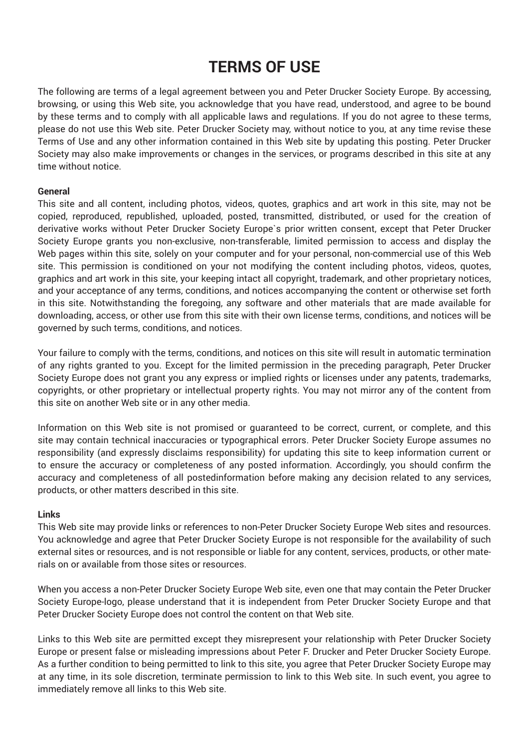# **Terms of use**

The following are terms of a legal agreement between you and Peter Drucker Society Europe. By accessing, browsing, or using this Web site, you acknowledge that you have read, understood, and agree to be bound by these terms and to comply with all applicable laws and regulations. If you do not agree to these terms, please do not use this Web site. Peter Drucker Society may, without notice to you, at any time revise these Terms of Use and any other information contained in this Web site by updating this posting. Peter Drucker Society may also make improvements or changes in the services, or programs described in this site at any time without notice.

#### **General**

This site and all content, including photos, videos, quotes, graphics and art work in this site, may not be copied, reproduced, republished, uploaded, posted, transmitted, distributed, or used for the creation of derivative works without Peter Drucker Society Europe`s prior written consent, except that Peter Drucker Society Europe grants you non-exclusive, non-transferable, limited permission to access and display the Web pages within this site, solely on your computer and for your personal, non-commercial use of this Web site. This permission is conditioned on your not modifying the content including photos, videos, quotes, graphics and art work in this site, your keeping intact all copyright, trademark, and other proprietary notices, and your acceptance of any terms, conditions, and notices accompanying the content or otherwise set forth in this site. Notwithstanding the foregoing, any software and other materials that are made available for downloading, access, or other use from this site with their own license terms, conditions, and notices will be governed by such terms, conditions, and notices.

Your failure to comply with the terms, conditions, and notices on this site will result in automatic termination of any rights granted to you. Except for the limited permission in the preceding paragraph, Peter Drucker Society Europe does not grant you any express or implied rights or licenses under any patents, trademarks, copyrights, or other proprietary or intellectual property rights. You may not mirror any of the content from this site on another Web site or in any other media.

Information on this Web site is not promised or guaranteed to be correct, current, or complete, and this site may contain technical inaccuracies or typographical errors. Peter Drucker Society Europe assumes no responsibility (and expressly disclaims responsibility) for updating this site to keep information current or to ensure the accuracy or completeness of any posted information. Accordingly, you should confirm the accuracy and completeness of all postedinformation before making any decision related to any services, products, or other matters described in this site.

#### **Links**

This Web site may provide links or references to non-Peter Drucker Society Europe Web sites and resources. You acknowledge and agree that Peter Drucker Society Europe is not responsible for the availability of such external sites or resources, and is not responsible or liable for any content, services, products, or other materials on or available from those sites or resources.

When you access a non-Peter Drucker Society Europe Web site, even one that may contain the Peter Drucker Society Europe-logo, please understand that it is independent from Peter Drucker Society Europe and that Peter Drucker Society Europe does not control the content on that Web site.

Links to this Web site are permitted except they misrepresent your relationship with Peter Drucker Society Europe or present false or misleading impressions about Peter F. Drucker and Peter Drucker Society Europe. As a further condition to being permitted to link to this site, you agree that Peter Drucker Society Europe may at any time, in its sole discretion, terminate permission to link to this Web site. In such event, you agree to immediately remove all links to this Web site.